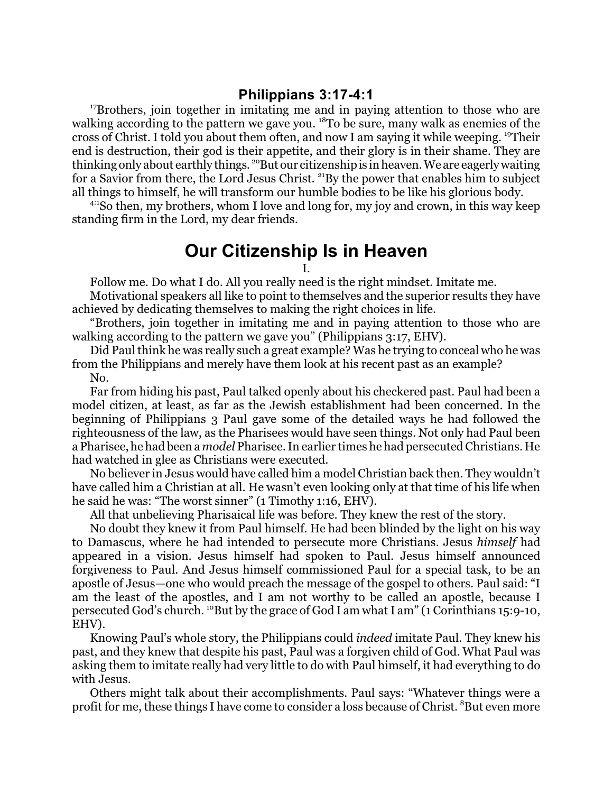## **Philippians 3:17-4:1**

<sup>17</sup>Brothers, join together in imitating me and in paying attention to those who are walking according to the pattern we gave you. <sup>18</sup>To be sure, many walk as enemies of the cross of Christ. I told you about them often, and now I am saying it while weeping. <sup>19</sup>Their end is destruction, their god is their appetite, and their glory is in their shame. They are thinking only about earthly things. <sup>20</sup>But our citizenship is in heaven. We are eagerly waiting for a Savior from there, the Lord Jesus Christ. <sup>21</sup>By the power that enables him to subject all things to himself, he will transform our humble bodies to be like his glorious body.

4:1 So then, my brothers, whom I love and long for, my joy and crown, in this way keep standing firm in the Lord, my dear friends.

## **Our Citizenship Is in Heaven**

I.

Follow me. Do what I do. All you really need is the right mindset. Imitate me.

Motivational speakers all like to point to themselves and the superior results they have achieved by dedicating themselves to making the right choices in life.

"Brothers, join together in imitating me and in paying attention to those who are walking according to the pattern we gave you" (Philippians 3:17, EHV).

Did Paul think he was really such a great example? Was he trying to conceal who he was from the Philippians and merely have them look at his recent past as an example? No.

Far from hiding his past, Paul talked openly about his checkered past. Paul had been a model citizen, at least, as far as the Jewish establishment had been concerned. In the beginning of Philippians 3 Paul gave some of the detailed ways he had followed the righteousness of the law, as the Pharisees would have seen things. Not only had Paul been a Pharisee, he had been a *model* Pharisee. In earlier times he had persecuted Christians. He had watched in glee as Christians were executed.

No believer in Jesus would have called him a model Christian back then. They wouldn't have called him a Christian at all. He wasn't even looking only at that time of his life when he said he was: "The worst sinner" (1 Timothy 1:16, EHV).

All that unbelieving Pharisaical life was before. They knew the rest of the story.

No doubt they knew it from Paul himself. He had been blinded by the light on his way to Damascus, where he had intended to persecute more Christians. Jesus *himself* had appeared in a vision. Jesus himself had spoken to Paul. Jesus himself announced forgiveness to Paul. And Jesus himself commissioned Paul for a special task, to be an apostle of Jesus—one who would preach the message of the gospel to others. Paul said: "I am the least of the apostles, and I am not worthy to be called an apostle, because I persecuted God's church. <sup>10</sup>But by the grace of God I am what I am" (1 Corinthians 15:9-10, EHV).

Knowing Paul's whole story, the Philippians could *indeed* imitate Paul. They knew his past, and they knew that despite his past, Paul was a forgiven child of God. What Paul was asking them to imitate really had very little to do with Paul himself, it had everything to do with Jesus.

Others might talk about their accomplishments. Paul says: "Whatever things were a profit for me, these things I have come to consider a loss because of Christ.  $^8$ But even more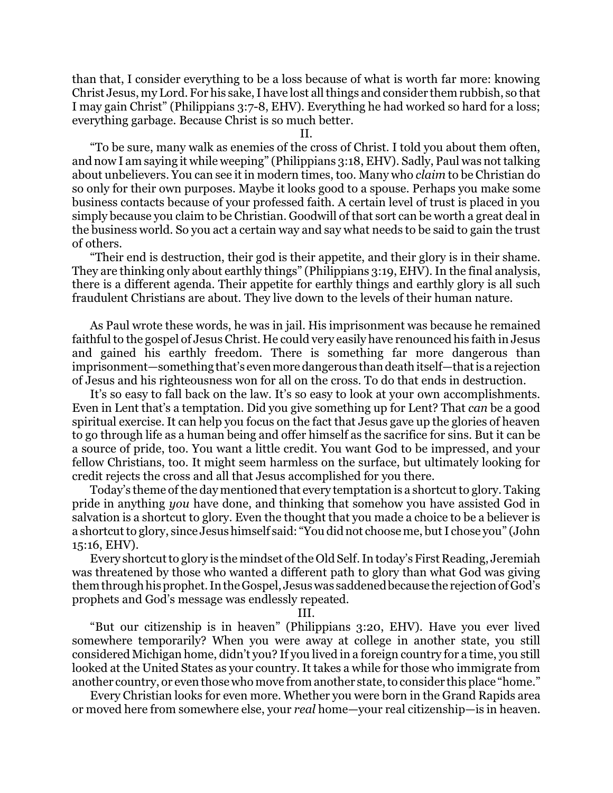than that, I consider everything to be a loss because of what is worth far more: knowing Christ Jesus, my Lord. For his sake, I have lost all things and consider them rubbish, so that I may gain Christ" (Philippians 3:7-8, EHV). Everything he had worked so hard for a loss; everything garbage. Because Christ is so much better.

II.

"To be sure, many walk as enemies of the cross of Christ. I told you about them often, and now I am saying it while weeping" (Philippians 3:18, EHV). Sadly, Paul was not talking about unbelievers. You can see it in modern times, too. Many who *claim* to be Christian do so only for their own purposes. Maybe it looks good to a spouse. Perhaps you make some business contacts because of your professed faith. A certain level of trust is placed in you simply because you claim to be Christian. Goodwill of that sort can be worth a great deal in the business world. So you act a certain way and say what needs to be said to gain the trust of others.

"Their end is destruction, their god is their appetite, and their glory is in their shame. They are thinking only about earthly things" (Philippians 3:19, EHV). In the final analysis, there is a different agenda. Their appetite for earthly things and earthly glory is all such fraudulent Christians are about. They live down to the levels of their human nature.

As Paul wrote these words, he was in jail. His imprisonment was because he remained faithful to the gospel of Jesus Christ. He could very easily have renounced his faith in Jesus and gained his earthly freedom. There is something far more dangerous than imprisonment—something that's evenmore dangerous than death itself—thatis a rejection of Jesus and his righteousness won for all on the cross. To do that ends in destruction.

It's so easy to fall back on the law. It's so easy to look at your own accomplishments. Even in Lent that's a temptation. Did you give something up for Lent? That *can* be a good spiritual exercise. It can help you focus on the fact that Jesus gave up the glories of heaven to go through life as a human being and offer himself as the sacrifice for sins. But it can be a source of pride, too. You want a little credit. You want God to be impressed, and your fellow Christians, too. It might seem harmless on the surface, but ultimately looking for credit rejects the cross and all that Jesus accomplished for you there.

Today's theme of the day mentioned that every temptation is a shortcut to glory. Taking pride in anything *you* have done, and thinking that somehow you have assisted God in salvation is a shortcut to glory. Even the thought that you made a choice to be a believer is a shortcut to glory, since Jesus himself said: "You did not choose me, but I chose you" (John 15:16, EHV).

Every shortcut to glory is the mindset ofthe Old Self. In today's First Reading, Jeremiah was threatened by those who wanted a different path to glory than what God was giving them through his prophet. In the Gospel, Jesus was saddened because the rejection of God's prophets and God's message was endlessly repeated.

III.

"But our citizenship is in heaven" (Philippians 3:20, EHV). Have you ever lived somewhere temporarily? When you were away at college in another state, you still considered Michigan home, didn't you? If you lived in a foreign country for a time, you still looked at the United States as your country. It takes a while for those who immigrate from another country, or even those who move from another state, to consider this place "home."

Every Christian looks for even more. Whether you were born in the Grand Rapids area or moved here from somewhere else, your *real* home—your real citizenship—is in heaven.